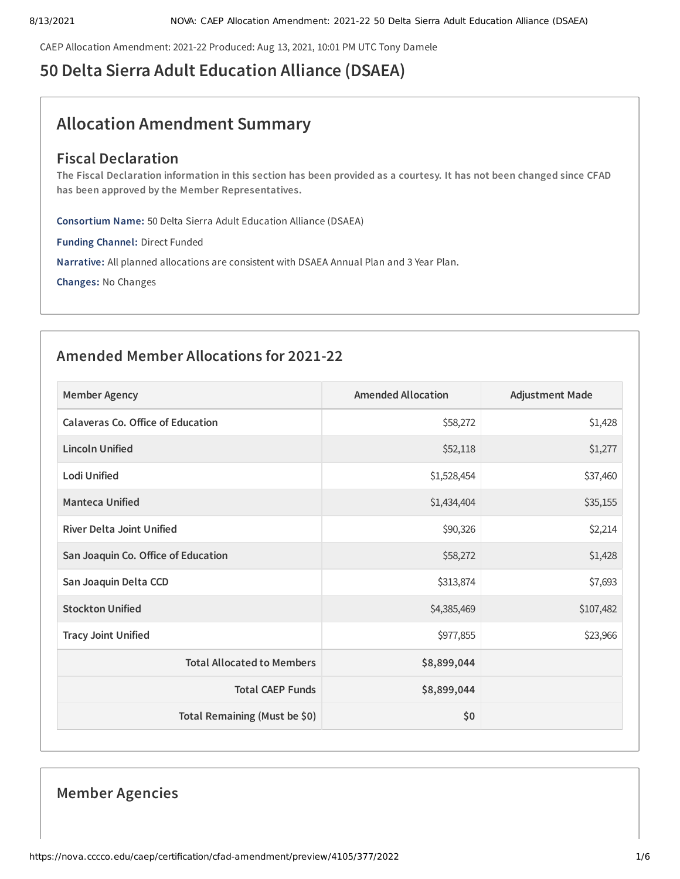CAEP Allocation Amendment: 2021-22 Produced: Aug 13, 2021, 10:01 PM UTC Tony Damele

# **50 Delta Sierra Adult Education Alliance (DSAEA)**

# **Allocation Amendment Summary**

## **Fiscal Declaration**

The Fiscal Declaration information in this section has been provided as a courtesy. It has not been changed since CFAD **has been approved by the Member Representatives.**

**Consortium Name:** 50 Delta Sierra Adult Education Alliance (DSAEA)

**Funding Channel:** Direct Funded

**Narrative:** All planned allocations are consistent with DSAEA Annual Plan and 3 Year Plan.

**Changes:** No Changes

## **Amended Member Allocations for 2021-22**

| <b>Member Agency</b>                | <b>Amended Allocation</b> | <b>Adjustment Made</b> |
|-------------------------------------|---------------------------|------------------------|
| Calaveras Co. Office of Education   | \$58,272                  | \$1,428                |
| <b>Lincoln Unified</b>              | \$52,118                  | \$1,277                |
| Lodi Unified                        | \$1,528,454               | \$37,460               |
| <b>Manteca Unified</b>              | \$1,434,404               | \$35,155               |
| <b>River Delta Joint Unified</b>    | \$90,326                  | \$2,214                |
| San Joaquin Co. Office of Education | \$58,272                  | \$1,428                |
| San Joaquin Delta CCD               | \$313,874                 | \$7,693                |
| <b>Stockton Unified</b>             | \$4,385,469               | \$107,482              |
| <b>Tracy Joint Unified</b>          | \$977,855                 | \$23,966               |
| <b>Total Allocated to Members</b>   | \$8,899,044               |                        |
| <b>Total CAEP Funds</b>             | \$8,899,044               |                        |
| Total Remaining (Must be \$0)       | \$0                       |                        |

## **Member Agencies**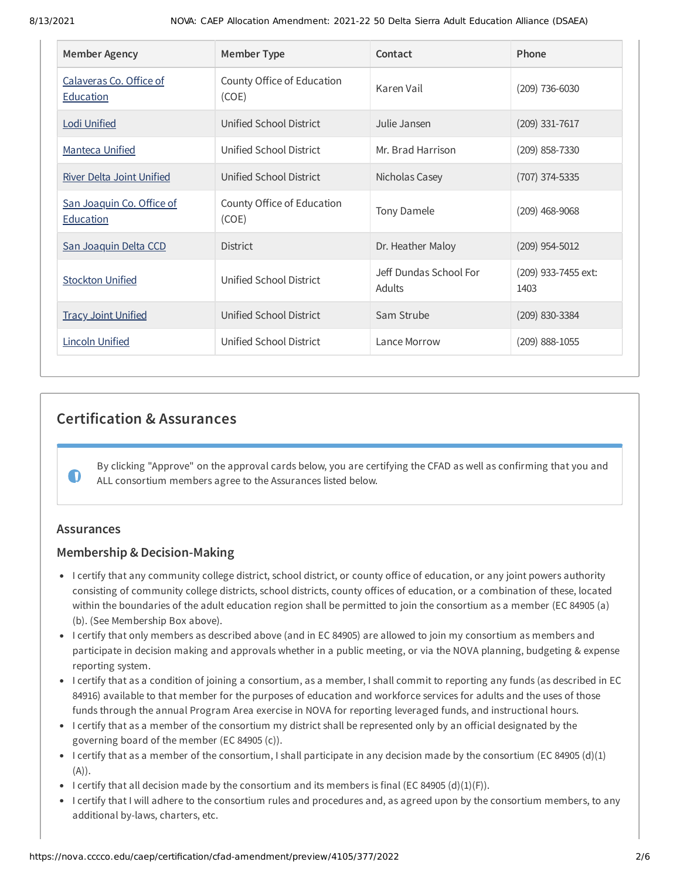| <b>Member Agency</b>                          | <b>Member Type</b>                  | Contact                          | Phone                       |
|-----------------------------------------------|-------------------------------------|----------------------------------|-----------------------------|
| Calaveras Co. Office of<br><b>Education</b>   | County Office of Education<br>(COE) | Karen Vail                       | $(209)$ 736-6030            |
| <b>Lodi Unified</b>                           | Unified School District             | Julie Jansen                     | $(209)$ 331-7617            |
| <b>Manteca Unified</b>                        | Unified School District             | Mr. Brad Harrison                | $(209)$ 858-7330            |
| <b>River Delta Joint Unified</b>              | Unified School District             | Nicholas Casey                   | (707) 374-5335              |
| San Joaquin Co. Office of<br><b>Education</b> | County Office of Education<br>(COE) | Tony Damele                      | $(209)$ 468-9068            |
| San Joaquin Delta CCD                         | <b>District</b>                     | Dr. Heather Maloy                | $(209)$ 954-5012            |
| <b>Stockton Unified</b>                       | Unified School District             | Jeff Dundas School For<br>Adults | (209) 933-7455 ext:<br>1403 |
| <b>Tracy Joint Unified</b>                    | Unified School District             | Sam Strube                       | (209) 830-3384              |
| <b>Lincoln Unified</b>                        | Unified School District             | Lance Morrow                     | $(209)$ 888-1055            |

## **Certification & Assurances**

By clicking "Approve" on the approval cards below, you are certifying the CFAD as well as confirming that you and ALL consortium members agree to the Assurances listed below.

### **Assurances**

 $\bullet$ 

### **Membership & Decision-Making**

- I certify that any community college district, school district, or county office of education, or any joint powers authority consisting of community college districts, school districts, county offices of education, or a combination of these, located within the boundaries of the adult education region shall be permitted to join the consortium as a member (EC 84905 (a) (b). (See Membership Box above).
- I certify that only members as described above (and in EC 84905) are allowed to join my consortium as members and participate in decision making and approvals whether in a public meeting, or via the NOVA planning, budgeting & expense reporting system.
- I certify that as a condition of joining a consortium, as a member, I shall commit to reporting any funds (as described in EC 84916) available to that member for the purposes of education and workforce services for adults and the uses of those funds through the annual Program Area exercise in NOVA for reporting leveraged funds, and instructional hours.
- I certify that as a member of the consortium my district shall be represented only by an official designated by the governing board of the member (EC 84905 (c)).
- I certify that as a member of the consortium, I shall participate in any decision made by the consortium (EC 84905 (d)(1)  $(A)$ ).
- I certify that all decision made by the consortium and its members is final (EC 84905 (d)(1)(F)).
- I certify that I will adhere to the consortium rules and procedures and, as agreed upon by the consortium members, to any additional by-laws, charters, etc.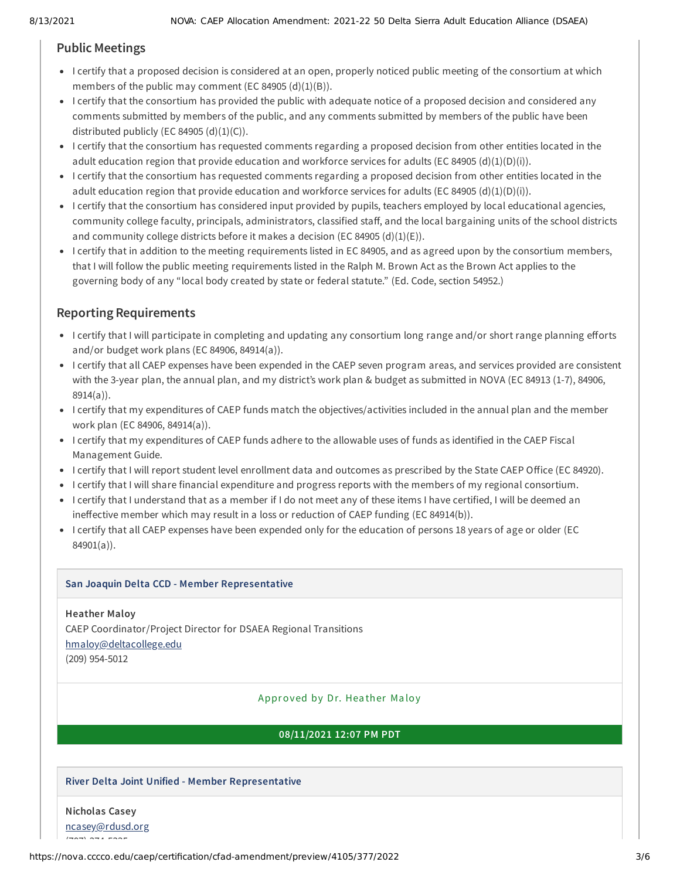## **Public Meetings**

- I certify that a proposed decision is considered at an open, properly noticed public meeting of the consortium at which members of the public may comment (EC 84905  $(d)(1)(B)$ ).
- I certify that the consortium has provided the public with adequate notice of a proposed decision and considered any comments submitted by members of the public, and any comments submitted by members of the public have been distributed publicly (EC 84905  $(d)(1)(C)$ ).
- I certify that the consortium has requested comments regarding a proposed decision from other entities located in the adult education region that provide education and workforce services for adults (EC 84905 (d)(1)(D)(i)).
- I certify that the consortium has requested comments regarding a proposed decision from other entities located in the adult education region that provide education and workforce services for adults (EC 84905 (d)(1)(D)(i)).
- I certify that the consortium has considered input provided by pupils, teachers employed by local educational agencies, community college faculty, principals, administrators, classified staff, and the local bargaining units of the school districts and community college districts before it makes a decision (EC 84905  $(d)(1)(E)$ ).
- I certify that in addition to the meeting requirements listed in EC 84905, and as agreed upon by the consortium members, that I will follow the public meeting requirements listed in the Ralph M. Brown Act as the Brown Act applies to the governing body of any "local body created by state or federal statute." (Ed. Code, section 54952.)

## **Reporting Requirements**

- I certify that I will participate in completing and updating any consortium long range and/or short range planning efforts and/or budget work plans (EC 84906, 84914(a)).
- I certify that all CAEP expenses have been expended in the CAEP seven program areas, and services provided are consistent with the 3-year plan, the annual plan, and my district's work plan & budget as submitted in NOVA (EC 84913 (1-7), 84906, 8914(a)).
- I certify that my expenditures of CAEP funds match the objectives/activities included in the annual plan and the member work plan (EC 84906, 84914(a)).
- I certify that my expenditures of CAEP funds adhere to the allowable uses of funds as identified in the CAEP Fiscal Management Guide.
- I certify that I will report student level enrollment data and outcomes as prescribed by the State CAEP Office (EC 84920).
- I certify that I will share financial expenditure and progress reports with the members of my regional consortium.
- I certify that I understand that as a member if I do not meet any of these items I have certified, I will be deemed an ineffective member which may result in a loss or reduction of CAEP funding (EC 84914(b)).
- I certify that all CAEP expenses have been expended only for the education of persons 18 years of age or older (EC 84901(a)).

#### **San Joaquin Delta CCD - Member Representative**

**Heather Maloy** CAEP Coordinator/Project Director for DSAEA Regional Transitions [hmaloy@deltacollege.edu](mailto:hmaloy@deltacollege.edu) (209) 954-5012

#### Approved by Dr. Hea ther Ma loy

#### **08/11/2021 12:07 PM PDT**

### **River Delta Joint Unified - Member Representative**

## **Nicholas Casey**

[ncasey@rdusd.org](mailto:ncasey@rdusd.org)

 $(70, 70, 70, 70, 70)$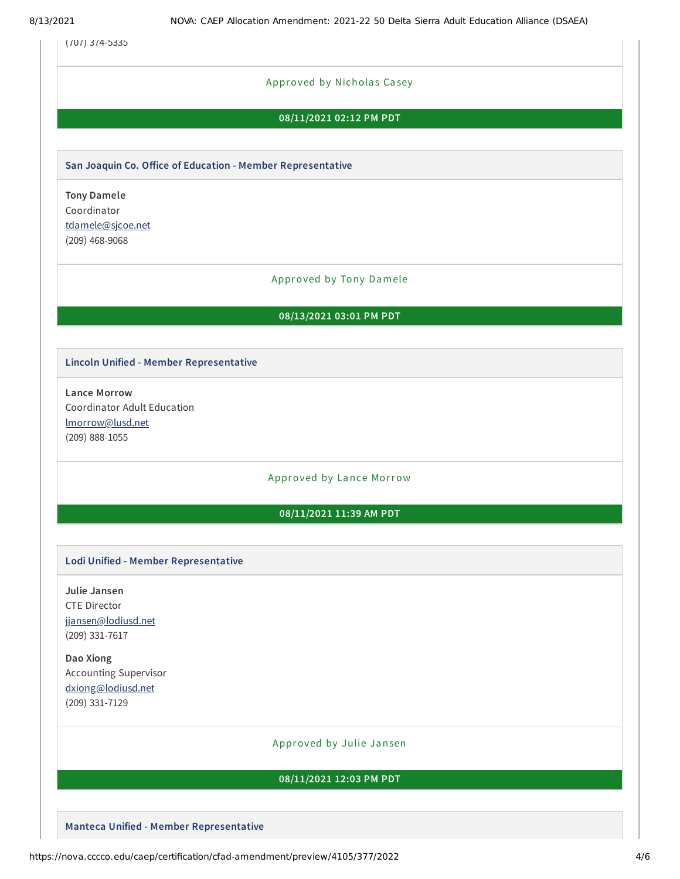(707) 374-5335

#### Approved by Nicholas Casey

#### **08/11/2021 02:12 PM PDT**

#### **San Joaquin Co. Office of Education - Member Representative**

**Tony Damele** Coordinator [tdamele@sjcoe.net](mailto:tdamele@sjcoe.net) (209) 468-9068

#### Approved by Tony Damele

#### **08/13/2021 03:01 PM PDT**

#### **Lincoln Unified - Member Representative**

**Lance Morrow** Coordinator Adult Education [lmorrow@lusd.net](mailto:lmorrow@lusd.net) (209) 888-1055

#### Approved by Lance Morrow

#### **08/11/2021 11:39 AM PDT**

#### **Lodi Unified - Member Representative**

**Julie Jansen** CTE Director [jjansen@lodiusd.net](mailto:jjansen@lodiusd.net) (209) 331-7617

**Dao Xiong** Accounting Supervisor [dxiong@lodiusd.net](mailto:dxiong@lodiusd.net) (209) 331-7129

#### Approved by Julie Jansen

#### **08/11/2021 12:03 PM PDT**

**Manteca Unified - Member Representative**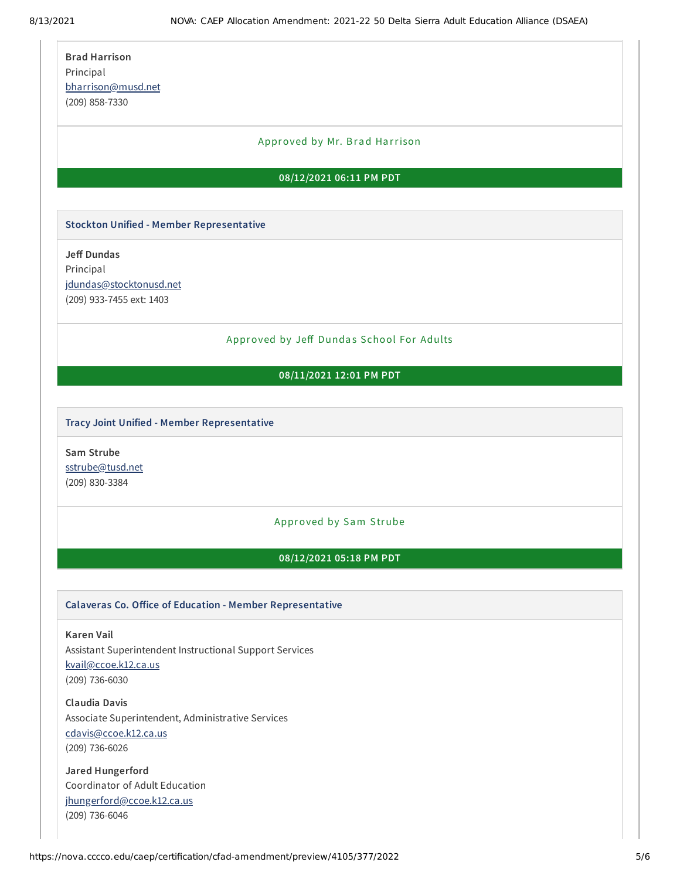| <b>Brad Harrison</b> |
|----------------------|
| Principal            |
| bharrison@musd.net   |
| (209) 858-7330       |

#### Approved by Mr. Brad Harrison

#### **08/12/2021 06:11 PM PDT**

#### **Stockton Unified - Member Representative**

**Jeff Dundas** Principal [jdundas@stocktonusd.net](mailto:jdundas@stocktonusd.net) (209) 933-7455 ext: 1403

#### Approved by Jeff Dundas School For Adults

#### **08/11/2021 12:01 PM PDT**

#### **Tracy Joint Unified - Member Representative**

**Sam Strube** [sstrube@tusd.net](mailto:sstrube@tusd.net) (209) 830-3384

#### Approved by Sam Strube

#### **08/12/2021 05:18 PM PDT**

#### **Calaveras Co. Office of Education - Member Representative**

**Karen Vail** Assistant Superintendent Instructional Support Services [kvail@ccoe.k12.ca.us](mailto:kvail@ccoe.k12.ca.us) (209) 736-6030

**Claudia Davis** Associate Superintendent, Administrative Services [cdavis@ccoe.k12.ca.us](mailto:cdavis@ccoe.k12.ca.us) (209) 736-6026

**Jared Hungerford** Coordinator of Adult Education [jhungerford@ccoe.k12.ca.us](mailto:jhungerford@ccoe.k12.ca.us) (209) 736-6046